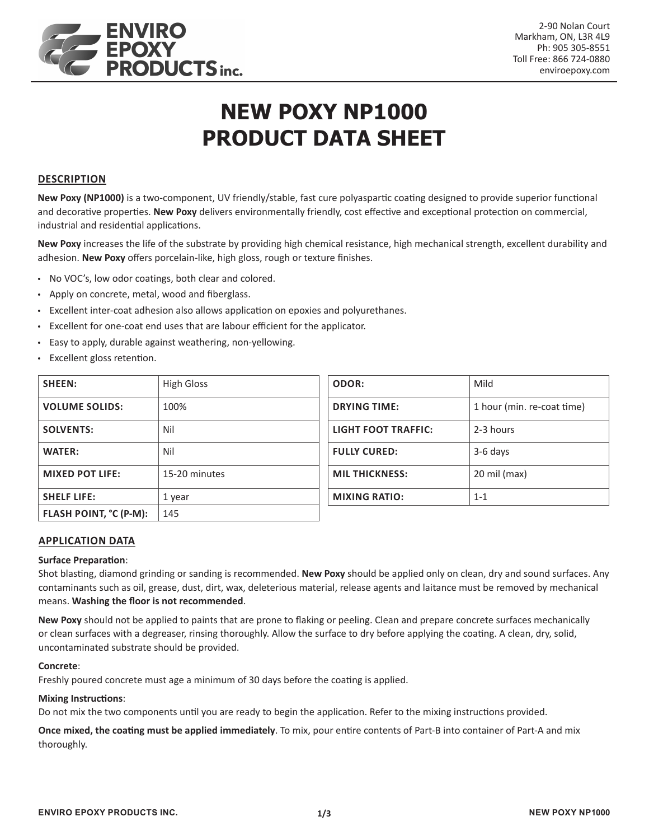

# **NEW POXY NP1000 PRODUCT DATA SHEET**

### **DESCRIPTION**

**New Poxy (NP1000)** is a two-component, UV friendly/stable, fast cure polyaspartic coating designed to provide superior functional and decorative properties. **New Poxy** delivers environmentally friendly, cost effective and exceptional protection on commercial, industrial and residential applications.

**New Poxy** increases the life of the substrate by providing high chemical resistance, high mechanical strength, excellent durability and adhesion. **New Poxy** offers porcelain-like, high gloss, rough or texture finishes.

- No VOC's, low odor coatings, both clear and colored.
- Apply on concrete, metal, wood and fiberglass.
- Excellent inter-coat adhesion also allows application on epoxies and polyurethanes.
- Excellent for one-coat end uses that are labour efficient for the applicator.
- Easy to apply, durable against weathering, non-yellowing.
- Excellent gloss retention.

| SHEEN:                 | <b>High Gloss</b> |
|------------------------|-------------------|
| <b>VOLUME SOLIDS:</b>  | 100%              |
| <b>SOLVENTS:</b>       | Nil               |
| <b>WATER:</b>          | Nil               |
| <b>MIXED POT LIFE:</b> | 15-20 minutes     |
| <b>SHELF LIFE:</b>     | 1 year            |
| FLASH POINT, °C (P-M): | 145               |

| Mild                       |
|----------------------------|
| 1 hour (min. re-coat time) |
| 2-3 hours                  |
| 3-6 days                   |
| 20 mil (max)               |
| $1 - 1$                    |
|                            |

## **APPLICATION DATA**

#### **Surface Preparation**:

Shot blasting, diamond grinding or sanding is recommended. **New Poxy** should be applied only on clean, dry and sound surfaces. Any contaminants such as oil, grease, dust, dirt, wax, deleterious material, release agents and laitance must be removed by mechanical means. **Washing the floor is not recommended**.

**New Poxy** should not be applied to paints that are prone to flaking or peeling. Clean and prepare concrete surfaces mechanically or clean surfaces with a degreaser, rinsing thoroughly. Allow the surface to dry before applying the coating. A clean, dry, solid, uncontaminated substrate should be provided.

#### **Concrete**:

Freshly poured concrete must age a minimum of 30 days before the coating is applied.

### **Mixing Instructions**:

Do not mix the two components until you are ready to begin the application. Refer to the mixing instructions provided.

**Once mixed, the coating must be applied immediately**. To mix, pour entire contents of Part-B into container of Part-A and mix thoroughly.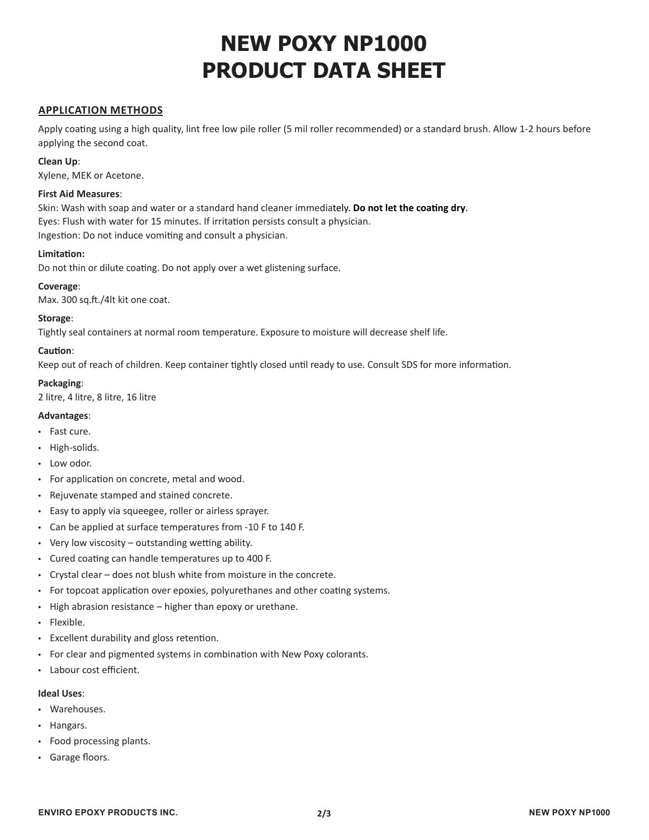# **NEW POXY NP1000 PRODUCT DATA SHEET**

### **APPLICATION METHODS**

Apply coating using a high quality, lint free low pile roller (5 mil roller recommended) or a standard brush. Allow 1-2 hours before applying the second coat.

#### **Clean Up**:

Xylene, MEK or Acetone.

#### **First Aid Measures**:

Skin: Wash with soap and water or a standard hand cleaner immediately. **Do not let the coating dry**. Eyes: Flush with water for 15 minutes. If irritation persists consult a physician. Ingestion: Do not induce vomiting and consult a physician.

#### **Limitation:**

Do not thin or dilute coating. Do not apply over a wet glistening surface.

#### **Coverage**:

Max. 300 sq.ft./4lt kit one coat.

#### **Storage**:

Tightly seal containers at normal room temperature. Exposure to moisture will decrease shelf life.

#### **Caution**:

Keep out of reach of children. Keep container tightly closed until ready to use. Consult SDS for more information.

**Packaging**: 2 litre, 4 litre, 8 litre, 16 litre

#### **Advantages**:

- Fast cure.
- High-solids.
- Low odor.
- For application on concrete, metal and wood.
- Rejuvenate stamped and stained concrete.
- Easy to apply via squeegee, roller or airless sprayer.
- Can be applied at surface temperatures from -10 F to 140 F.
- Very low viscosity outstanding wetting ability.
- Cured coating can handle temperatures up to 400 F.
- Crystal clear does not blush white from moisture in the concrete.
- For topcoat application over epoxies, polyurethanes and other coating systems.
- High abrasion resistance higher than epoxy or urethane.
- Flexible.
- Excellent durability and gloss retention.
- For clear and pigmented systems in combination with New Poxy colorants.
- Labour cost efficient.

#### **Ideal Uses**:

- Warehouses.
- Hangars.
- Food processing plants.
- Garage floors.